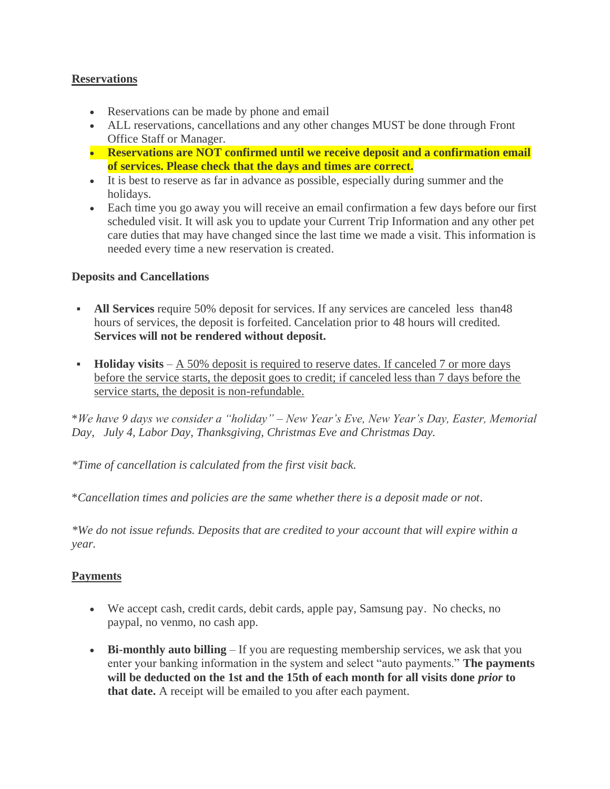### **Reservations**

- Reservations can be made by phone and email
- ALL reservations, cancellations and any other changes MUST be done through Front Office Staff or Manager.
- **Reservations are NOT confirmed until we receive deposit and a confirmation email of services. Please check that the days and times are correct.**
- It is best to reserve as far in advance as possible, especially during summer and the holidays.
- Each time you go away you will receive an email confirmation a few days before our first scheduled visit. It will ask you to update your Current Trip Information and any other pet care duties that may have changed since the last time we made a visit. This information is needed every time a new reservation is created.

### **Deposits and Cancellations**

- **All Services** require 50% deposit for services. If any services are canceled less than48 hours of services, the deposit is forfeited. Cancelation prior to 48 hours will credited. **Services will not be rendered without deposit.**
- **Holiday visits** A 50% deposit is required to reserve dates. If canceled 7 or more days before the service starts, the deposit goes to credit; if canceled less than 7 days before the service starts, the deposit is non-refundable.

\**We have 9 days we consider a "holiday" – New Year's Eve, New Year's Day, Easter, Memorial Day, July 4, Labor Day, Thanksgiving, Christmas Eve and Christmas Day.*

*\*Time of cancellation is calculated from the first visit back.*

\**Cancellation times and policies are the same whether there is a deposit made or not.*

*\*We do not issue refunds. Deposits that are credited to your account that will expire within a year.*

### **Payments**

- We accept cash, credit cards, debit cards, apple pay, Samsung pay. No checks, no paypal, no venmo, no cash app.
- **Bi-monthly auto billing** If you are requesting membership services, we ask that you enter your banking information in the system and select "auto payments." **The payments will be deducted on the 1st and the 15th of each month for all visits done** *prior* **to that date.** A receipt will be emailed to you after each payment.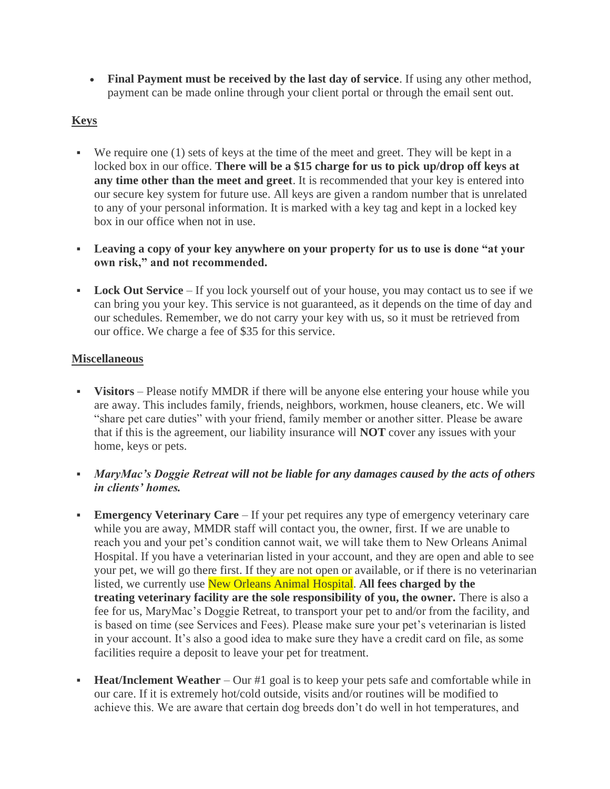• **Final Payment must be received by the last day of service**. If using any other method, payment can be made online through your client portal or through the email sent out.

# **Keys**

- We require one (1) sets of keys at the time of the meet and greet. They will be kept in a locked box in our office. **There will be a \$15 charge for us to pick up/drop off keys at any time other than the meet and greet**. It is recommended that your key is entered into our secure key system for future use. All keys are given a random number that is unrelated to any of your personal information. It is marked with a key tag and kept in a locked key box in our office when not in use.
- **Leaving a copy of your key anywhere on your property for us to use is done "at your own risk," and not recommended.**
- **Lock Out Service** If you lock yourself out of your house, you may contact us to see if we can bring you your key. This service is not guaranteed, as it depends on the time of day and our schedules. Remember, we do not carry your key with us, so it must be retrieved from our office. We charge a fee of \$35 for this service.

### **Miscellaneous**

- **Visitors** Please notify MMDR if there will be anyone else entering your house while you are away. This includes family, friends, neighbors, workmen, house cleaners, etc. We will "share pet care duties" with your friend, family member or another sitter. Please be aware that if this is the agreement, our liability insurance will **NOT** cover any issues with your home, keys or pets.
- *MaryMac's Doggie Retreat will not be liable for any damages caused by the acts of others in clients' homes.*
- **Emergency Veterinary Care** If your pet requires any type of emergency veterinary care while you are away, MMDR staff will contact you, the owner, first. If we are unable to reach you and your pet's condition cannot wait, we will take them to New Orleans Animal Hospital. If you have a veterinarian listed in your account, and they are open and able to see your pet, we will go there first. If they are not open or available, or if there is no veterinarian listed, we currently use New Orleans Animal Hospital. **All fees charged by the treating veterinary facility are the sole responsibility of you, the owner.** There is also a fee for us, MaryMac's Doggie Retreat, to transport your pet to and/or from the facility, and is based on time (see Services and Fees). Please make sure your pet's veterinarian is listed in your account. It's also a good idea to make sure they have a credit card on file, as some facilities require a deposit to leave your pet for treatment.
- **Heat/Inclement Weather** Our #1 goal is to keep your pets safe and comfortable while in our care. If it is extremely hot/cold outside, visits and/or routines will be modified to achieve this. We are aware that certain dog breeds don't do well in hot temperatures, and